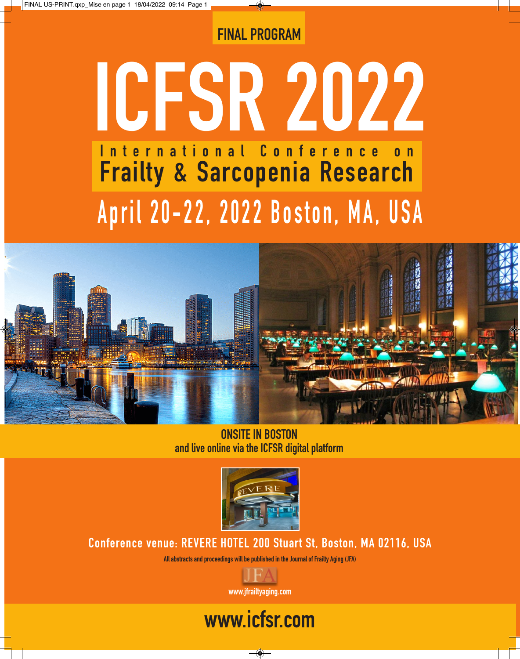### FINAL PROGRAM

# ICFSR 2022 April 20-22, 2022 Boston, MA, USA International Conference on Frailty & Sarcopenia Research



ONSITE IN BOSTON and live online via the ICFSR digital platform



Conference venue: REVERE HOTEL 200 Stuart St, Boston, MA 02116, USA

All abstracts and proceedings will be published in the Journal of Frailty Aging (JFA)



# www.icfsr.com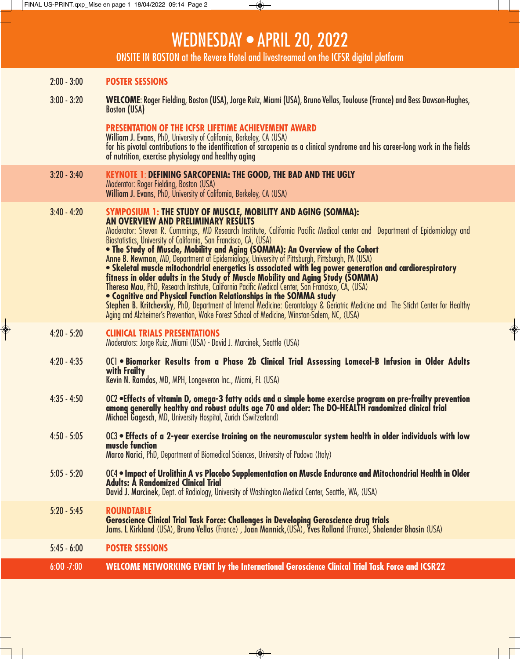### WEDNESDAY • APRIL 20, 2022

ONSITE IN BOSTON at the Revere Hotel and livestreamed on the ICFSR digital platform

#### 2:00 - 3:00 **POSTER SESSIONS**

3:00 - 3:20 **WELCOME**: Roger Fielding, Boston (USA), Jorge Ruiz, Miami (USA), Bruno Vellas, Toulouse (France) and Bess Dawson-Hughes, Boston (USA)

**PRESENTATION OF THE ICFSR LIFETIME ACHIEVEMENT AWARD**<br>William J. Evans, PhD, University of California, Berkeley, CA (USA) for his pivotal contributions to the identification of sarcopenia as a clinical syndrome and his career-long work in the fields of nutrition, exercise physiology and healthy aging

3:20 - 3:40 **KEYNOTE 1**: **DEFINING SARCOPENIA: THE GOOD, THE BAD AND THE UGLY** Moderator: Roger Fielding, Boston (USA) William J. Evans, PhD, University of California, Berkeley, CA (USA)

3:40 - 4:20 **SYMPOSIUM 1: THE STUDY OF MUSCLE, MOBILITY AND AGING (SOMMA): AN OVERVIEW AND PRELIMINARY RESULTS** Moderator: Steven R. Cummings, MD Research Institute, California Pacific Medical center and Department of Epidemiology and Biostatistics, University of California, San Francisco, CA, (USA) **• The Study of Muscle, Mobility and Aging (SOMMA): An Overview of the Cohort** Anne B. Newman, MD, Department of Epidemiology, University of Pittsburgh, Pittsburgh, PA (USA) **• Skeletal muscle mitochondrial energetics is associated with leg power generation and cardiorespiratory fitness in older adults in the Study of Muscle Mobility and Aging Study (SOMMA)** Theresa Mau, PhD, Research Institute, California Pacific Medical Center, San Francisco, CA, (USA) **• Cognitive and Physical Function Relationships in the SOMMA study** Stephen B. Kritchevsky, PhD, Department of Internal Medicine: Gerontology & Geriatric Medicine and The Sticht Center for Healthy Aging and Alzheimer's Prevention, Wake Forest School of Medicine, Winston-Salem, NC, (USA) 4:20 - 5:20 **CLINICAL TRIALS PRESENTATIONS** Moderators: Jorge Ruiz, Miami (USA) - David J. Marcinek, Seattle (USA)

- 4:20 4:35 OC1 **Biomarker Results from a Phase 2b Clinical Trial Assessing Lomecel-B Infusion in Older Adults with Frailty** Kevin N. Ramdas, MD, MPH, Longeveron Inc., Miami, FL (USA)
- 4:35 4:50 OC2 •Effects of vitamin D, omega-3 fatty acids and a simple home exercise program on pre-frailty prevention<br>among generally healthy and robust adults age 70 and older: The DO-HEALTH randomized clinical trial Michael Gagesch, MD, University Hospital, Zurich (Switzerland)
- 4:50 5:05 OC3 **Effects of a 2-year exercise training on the neuromuscular system health in older individuals with low muscle function**

Marco Narici, PhD, Department of Biomedical Sciences, University of Padova (Italy)

5:05 - 5:20 OC4 • **Impact of Urolithin A vs Placebo Supplementation on Muscle Endurance and Mitochondrial Health in Older Adults: A Randomized Clinical Trial** David J. Marcinek, Dept. of Radiology, University of Washington Medical Center, Seattle, WA, (USA)

5:20 - 5:45 **ROUNDTABLE Geroscience Clinical Trial Task Force: Challenges in Developing Geroscience drug trials**

Jams. L Kirkland (USA), Bruno Vellas (France) , Joan Mannick,(USA), Yves Rolland (France), Shalender Bhasin (USA)

5:45 - 6:00 **POSTER SESSIONS** 

6:OO -7:00 **WELCOME NETWORKING EVENT by the International Geroscience Clinical Trial Task Force and ICSR22** 

 $\overline{\bullet}$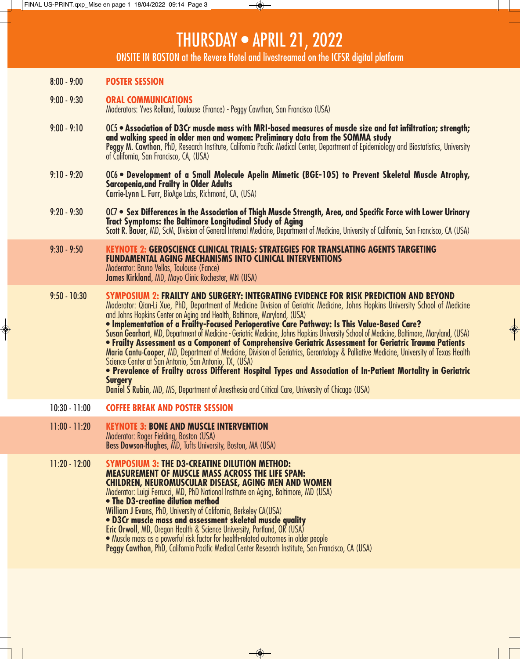### THURSDAY • APRIL 21, 2022

ONSITE IN BOSTON at the Revere Hotel and livestreamed on the ICFSR digital platform

- 8:00 9:00 **POSTER SESSION**
- 9:00 9:30 **ORAL COMMUNICATIONS**  Moderators: Yves Rolland, Toulouse (France) - Peggy Cawthon, San Francisco (USA)
- 9:00 9:10 OC5 **Association of D3Cr muscle mass with MRI-based measures of muscle size and fat infiltration; strength; and walking speed in older men and women: Preliminary data from the SOMMA study** Peggy M. Cawthon, PhD, Research Institute, California Pacific Medical Center, Department of Epidemiology and Biostatistics, University<br>of California, San Francisco, CA, (USA)
- 9:10 9:20 OC6 **Development of a Small Molecule Apelin Mimetic (BGE-105) to Prevent Skeletal Muscle Atrophy, Sarcopenia,and Frailty in Older Adults** Carrie-Lynn L. Furr, BioAge Labs, Richmond, CA, (USA)
- 9:20 9:30 OC7 **Sex Differences in the Association of Thigh Muscle Strength, Area, and Specific Force with Lower Urinary Tract Symptoms: the Baltimore Longitudinal Study of Aging** Scott R. Bauer, MD, ScM, Division of General Internal Medicine, Department of Medicine, University of California, San Francisco, CA (USA)
- 9:30 9:50 **KEYNOTE 2: GEROSCIENCE CLINICAL TRIALS: STRATEGIES FOR TRANSLATING AGENTS TARGETING FUNDAMENTAL AGING MECHANISMS INTO CLINICAL INTERVENTIONS** Moderator: Bruno Vellas, Toulouse (Fance)

James Kirkland, MD, Mayo Clinic Rochester, MN (USA)

9:50 - 10:30 **SYMPOSIUM 2: FRAILTY AND SURGERY: INTEGRATING EVIDENCE FOR RISK PREDICTION AND BEYOND** Moderator: Qian-Li Xue, PhD, Department of Medicine Division of Geriatric Medicine, Johns Hopkins University School of Medicine and Johns Hopkins Center on Aging and Health, Baltimore, Maryland, (USA)

 $\overline{\bullet}$ 

**• Implementation of a Frailty-Focused Perioperative Care Pathway: Is This Value-Based Care?** Susan Gearhart, MD, Department of Medicine - Geriatric Medicine, Johns Hopkins University School of Medicine, Baltimore, Maryland, (USA) **• Frailty Assessment as a Component of Comprehensive Geriatric Assessment for Geriatric Trauma Patients** Maria Cantu-Cooper, MD, Department of Medicine, Division of Geriatrics, Gerontology & Palliative Medicine, University of Texas Health Science Center at San Antonio, San Antonio, TX, (USA)

**• Prevalence of Frailty across Different Hospital Types and Association of In-Patient Mortality in Geriatric Surgery**

Daniel S Rubin, MD, MS, Department of Anesthesia and Critical Care, University of Chicago (USA)

- 10:30 11:00 **COFFEE BREAK AND POSTER SESSION**
- 11:00 11:20 **KEYNOTE 3: BONE AND MUSCLE INTERVENTION** Moderator: Roger Fielding, Boston (USA) Bess Dawson-Hughes, MD, Tufts University, Boston, MA (USA)
- 11:20 12:00 **SYMPOSIUM 3: THE D3-CREATINE DILUTION METHOD: MEASUREMENT OF MUSCLE MASS ACROSS THE LIFE SPAN: CHILDREN, NEUROMUSCULAR DISEASE, AGING MEN AND WOMEN** Moderator: Luigi Ferrucci, MD, PhD National Institute on Aging, Baltimore, MD (USA) **• The D3-creatine dilution method** William J Evans, PhD, University of California, Berkeley CA(USA) **• D3Cr muscle mass and assessment skeletal muscle quality** Eric Orwoll, MD, Oregon Health & Science University, Portland, OR (USA) • Muscle mass as a powerful risk factor for health-related outcomes in older people Peggy Cawthon, PhD, California Pacific Medical Center Research Institute, San Francisco, CA (USA)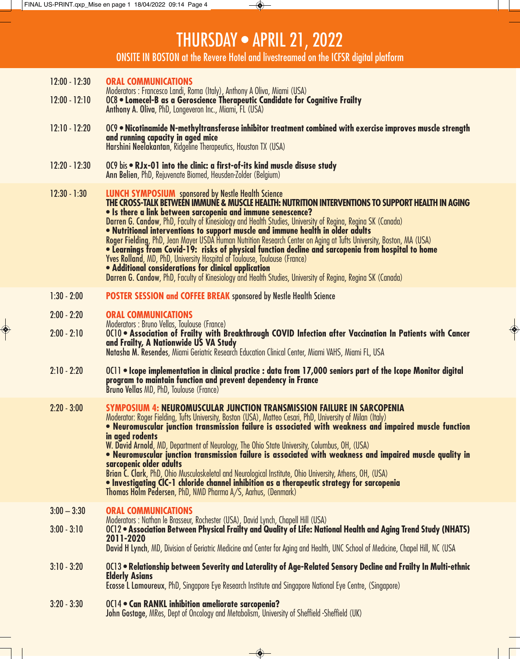$\circledast$ 

# THURSDAY • APRIL 21, 2022

◈

ONSITE IN BOSTON at the Revere Hotel and livestreamed on the ICFSR digital platform

| $12:00 - 12:30$<br><b>ORAL COMMUNICATIONS</b><br>Moderators : Francesco Landi, Roma (Italy), Anthony A Oliva, Miami (USA)<br>008 . Lomecel-B as a Geroscience Therapeutic Candidate for Cognitive Frailty<br>$12:00 - 12:10$<br>Anthony A. Oliva, PhD, Longeveron Inc., Miami, FL (USA)<br>OC9 . Nicotinamide N-methyltransferase inhibitor treatment combined with exercise improves muscle strength<br>$12:10 - 12:20$<br>and running capacity in aged mice<br>Harshini Neelakantan, Ridgeline Therapeutics, Houston TX (USA)<br>$12:20 - 12:30$<br>OC9 bis • RJx-01 into the clinic: a first-of-its kind muscle disuse study<br>Ann Belien, PhD, Rejuvengte Biomed, Heusden-Zolder (Belgium)<br><b>LUNCH SYMPOSIUM</b> sponsored by Nestle Health Science<br>$12:30 - 1:30$<br>THE CROSS-TALK BETWEEN IMMUNE & MUSCLE HEALTH: NUTRITION INTERVENTIONS TO SUPPORT HEALTH IN AGING<br>. Is there a link between sarcopenia and immune senescence?<br>Darren G. Candow, PhD, Faculty of Kinesiology and Health Studies, University of Regina, Regina SK (Canada)<br>. Nutritional interventions to support muscle and immune health in older adults<br>Roger Fielding, PhD, Jean Mayer USDA Human Nutrition Research Center on Aging at Tufts University, Boston, MA (USA)<br>· Learnings from Covid-19: risks of physical function decline and sarcopenia from hospital to home<br><b>Yves Rolland, MD, PhD, University Hospital of Toulouse, Toulouse (France)</b><br>· Additional considerations for clinical application<br>Darren G. Candow, PhD, Faculty of Kinesiology and Health Studies, University of Regina, Regina SK (Canada)<br>POSTER SESSION and COFFEE BREAK sponsored by Nestle Health Science<br>$1:30 - 2:00$<br>$2:00 - 2:20$<br><b>ORAL COMMUNICATIONS</b><br>Moderators: Bruno Vellas, Toulouse (France)<br>OC10 . Association of Frailty with Breakthrough COVID Infection after Vaccination In Patients with Cancer<br>$2:00 - 2:10$<br>and Frailty, A Nationwide US VA Study<br>Natasha M. Resendes, Miami Geriatric Research Education Clinical Center, Miami VAHS, Miami FL, USA<br>$2:10 - 2:20$<br>OC11 . Icope implementation in clinical practice : data from 17,000 seniors part of the Icope Monitor digital<br>program to maintain function and prevent dependency in France<br><b>Bruno Vellas MD, PhD, Toulouse (France)</b><br>$2:20 - 3:00$<br>SYMPOSIUM 4: NEUROMUSCULAR JUNCTION TRANSMISSION FAILURE IN SARCOPENIA<br>Moderator: Roger Fielding, Tufts University, Boston (USA), Matteo Cesari, PhD, University of Milan (Italy)<br>• Neuromuscular junction transmission failure is associated with weakness and impaired muscle function<br>in aged rodents<br>W. David Arnold, MD, Department of Neurology, The Ohio State University, Columbus, OH, (USA)<br>. Neuromuscular junction transmission failure is associated with weakness and impaired muscle quality in<br>sarcopenic older adults<br>Brian C. Clark, PhD, Ohio Musculoskeletal and Neurological Institute, Ohio University, Athens, OH, (USA)<br>. Investigating CIC-1 chloride channel inhibition as a therapeutic strategy for sarcopenia<br>Thomas Holm Pedersen, PhD, NMD Pharma A/S, Aarhus, (Denmark)<br>$3:00 - 3:30$<br><b>ORAL COMMUNICATIONS</b><br>Moderators: Nathan le Brasseur, Rochester (USA), David Lynch, Chapell Hill (USA)<br>OC12 • Association Between Physical Frailty and Quality of Life: National Health and Aging Trend Study (NHATS)<br>$3:00 - 3:10$<br>2011-2020<br>David H Lynch, MD, Division of Geriatric Medicine and Center for Aging and Health, UNC School of Medicine, Chapel Hill, NC (USA<br>$3:10 - 3:20$<br>OC13 • Relationship between Severity and Laterality of Age-Related Sensory Decline and Frailty In Multi-ethnic<br><b>Elderly Asians</b><br>Ecosse L Lamoureux, PhD, Singapore Eye Research Institute and Singapore National Eye Centre, (Singapore)<br>$3:20 - 3:30$<br><b>OC14 • Can RANKL inhibition ameliorate sarcopenia?</b><br>John Gostage, MRes, Dept of Oncology and Metabolism, University of Sheffield -Sheffield (UK) |  |
|------------------------------------------------------------------------------------------------------------------------------------------------------------------------------------------------------------------------------------------------------------------------------------------------------------------------------------------------------------------------------------------------------------------------------------------------------------------------------------------------------------------------------------------------------------------------------------------------------------------------------------------------------------------------------------------------------------------------------------------------------------------------------------------------------------------------------------------------------------------------------------------------------------------------------------------------------------------------------------------------------------------------------------------------------------------------------------------------------------------------------------------------------------------------------------------------------------------------------------------------------------------------------------------------------------------------------------------------------------------------------------------------------------------------------------------------------------------------------------------------------------------------------------------------------------------------------------------------------------------------------------------------------------------------------------------------------------------------------------------------------------------------------------------------------------------------------------------------------------------------------------------------------------------------------------------------------------------------------------------------------------------------------------------------------------------------------------------------------------------------------------------------------------------------------------------------------------------------------------------------------------------------------------------------------------------------------------------------------------------------------------------------------------------------------------------------------------------------------------------------------------------------------------------------------------------------------------------------------------------------------------------------------------------------------------------------------------------------------------------------------------------------------------------------------------------------------------------------------------------------------------------------------------------------------------------------------------------------------------------------------------------------------------------------------------------------------------------------------------------------------------------------------------------------------------------------------------------------------------------------------------------------------------------------------------------------------------------------------------------------------------------------------------------------------------------------------------------------------------------------------------------------------------------------------------------------------------------------------------------------------------------------------------------------------------------------------------------------------------------------------------------------------------------------------------------------------------------------------------------------------------------------------------------------------------------------------------------------------------------------------------------------------------------------------------------------------------------------------|--|
|                                                                                                                                                                                                                                                                                                                                                                                                                                                                                                                                                                                                                                                                                                                                                                                                                                                                                                                                                                                                                                                                                                                                                                                                                                                                                                                                                                                                                                                                                                                                                                                                                                                                                                                                                                                                                                                                                                                                                                                                                                                                                                                                                                                                                                                                                                                                                                                                                                                                                                                                                                                                                                                                                                                                                                                                                                                                                                                                                                                                                                                                                                                                                                                                                                                                                                                                                                                                                                                                                                                                                                                                                                                                                                                                                                                                                                                                                                                                                                                                                                                                                                      |  |
|                                                                                                                                                                                                                                                                                                                                                                                                                                                                                                                                                                                                                                                                                                                                                                                                                                                                                                                                                                                                                                                                                                                                                                                                                                                                                                                                                                                                                                                                                                                                                                                                                                                                                                                                                                                                                                                                                                                                                                                                                                                                                                                                                                                                                                                                                                                                                                                                                                                                                                                                                                                                                                                                                                                                                                                                                                                                                                                                                                                                                                                                                                                                                                                                                                                                                                                                                                                                                                                                                                                                                                                                                                                                                                                                                                                                                                                                                                                                                                                                                                                                                                      |  |
|                                                                                                                                                                                                                                                                                                                                                                                                                                                                                                                                                                                                                                                                                                                                                                                                                                                                                                                                                                                                                                                                                                                                                                                                                                                                                                                                                                                                                                                                                                                                                                                                                                                                                                                                                                                                                                                                                                                                                                                                                                                                                                                                                                                                                                                                                                                                                                                                                                                                                                                                                                                                                                                                                                                                                                                                                                                                                                                                                                                                                                                                                                                                                                                                                                                                                                                                                                                                                                                                                                                                                                                                                                                                                                                                                                                                                                                                                                                                                                                                                                                                                                      |  |
|                                                                                                                                                                                                                                                                                                                                                                                                                                                                                                                                                                                                                                                                                                                                                                                                                                                                                                                                                                                                                                                                                                                                                                                                                                                                                                                                                                                                                                                                                                                                                                                                                                                                                                                                                                                                                                                                                                                                                                                                                                                                                                                                                                                                                                                                                                                                                                                                                                                                                                                                                                                                                                                                                                                                                                                                                                                                                                                                                                                                                                                                                                                                                                                                                                                                                                                                                                                                                                                                                                                                                                                                                                                                                                                                                                                                                                                                                                                                                                                                                                                                                                      |  |
|                                                                                                                                                                                                                                                                                                                                                                                                                                                                                                                                                                                                                                                                                                                                                                                                                                                                                                                                                                                                                                                                                                                                                                                                                                                                                                                                                                                                                                                                                                                                                                                                                                                                                                                                                                                                                                                                                                                                                                                                                                                                                                                                                                                                                                                                                                                                                                                                                                                                                                                                                                                                                                                                                                                                                                                                                                                                                                                                                                                                                                                                                                                                                                                                                                                                                                                                                                                                                                                                                                                                                                                                                                                                                                                                                                                                                                                                                                                                                                                                                                                                                                      |  |
|                                                                                                                                                                                                                                                                                                                                                                                                                                                                                                                                                                                                                                                                                                                                                                                                                                                                                                                                                                                                                                                                                                                                                                                                                                                                                                                                                                                                                                                                                                                                                                                                                                                                                                                                                                                                                                                                                                                                                                                                                                                                                                                                                                                                                                                                                                                                                                                                                                                                                                                                                                                                                                                                                                                                                                                                                                                                                                                                                                                                                                                                                                                                                                                                                                                                                                                                                                                                                                                                                                                                                                                                                                                                                                                                                                                                                                                                                                                                                                                                                                                                                                      |  |
|                                                                                                                                                                                                                                                                                                                                                                                                                                                                                                                                                                                                                                                                                                                                                                                                                                                                                                                                                                                                                                                                                                                                                                                                                                                                                                                                                                                                                                                                                                                                                                                                                                                                                                                                                                                                                                                                                                                                                                                                                                                                                                                                                                                                                                                                                                                                                                                                                                                                                                                                                                                                                                                                                                                                                                                                                                                                                                                                                                                                                                                                                                                                                                                                                                                                                                                                                                                                                                                                                                                                                                                                                                                                                                                                                                                                                                                                                                                                                                                                                                                                                                      |  |
|                                                                                                                                                                                                                                                                                                                                                                                                                                                                                                                                                                                                                                                                                                                                                                                                                                                                                                                                                                                                                                                                                                                                                                                                                                                                                                                                                                                                                                                                                                                                                                                                                                                                                                                                                                                                                                                                                                                                                                                                                                                                                                                                                                                                                                                                                                                                                                                                                                                                                                                                                                                                                                                                                                                                                                                                                                                                                                                                                                                                                                                                                                                                                                                                                                                                                                                                                                                                                                                                                                                                                                                                                                                                                                                                                                                                                                                                                                                                                                                                                                                                                                      |  |
|                                                                                                                                                                                                                                                                                                                                                                                                                                                                                                                                                                                                                                                                                                                                                                                                                                                                                                                                                                                                                                                                                                                                                                                                                                                                                                                                                                                                                                                                                                                                                                                                                                                                                                                                                                                                                                                                                                                                                                                                                                                                                                                                                                                                                                                                                                                                                                                                                                                                                                                                                                                                                                                                                                                                                                                                                                                                                                                                                                                                                                                                                                                                                                                                                                                                                                                                                                                                                                                                                                                                                                                                                                                                                                                                                                                                                                                                                                                                                                                                                                                                                                      |  |
|                                                                                                                                                                                                                                                                                                                                                                                                                                                                                                                                                                                                                                                                                                                                                                                                                                                                                                                                                                                                                                                                                                                                                                                                                                                                                                                                                                                                                                                                                                                                                                                                                                                                                                                                                                                                                                                                                                                                                                                                                                                                                                                                                                                                                                                                                                                                                                                                                                                                                                                                                                                                                                                                                                                                                                                                                                                                                                                                                                                                                                                                                                                                                                                                                                                                                                                                                                                                                                                                                                                                                                                                                                                                                                                                                                                                                                                                                                                                                                                                                                                                                                      |  |
|                                                                                                                                                                                                                                                                                                                                                                                                                                                                                                                                                                                                                                                                                                                                                                                                                                                                                                                                                                                                                                                                                                                                                                                                                                                                                                                                                                                                                                                                                                                                                                                                                                                                                                                                                                                                                                                                                                                                                                                                                                                                                                                                                                                                                                                                                                                                                                                                                                                                                                                                                                                                                                                                                                                                                                                                                                                                                                                                                                                                                                                                                                                                                                                                                                                                                                                                                                                                                                                                                                                                                                                                                                                                                                                                                                                                                                                                                                                                                                                                                                                                                                      |  |
|                                                                                                                                                                                                                                                                                                                                                                                                                                                                                                                                                                                                                                                                                                                                                                                                                                                                                                                                                                                                                                                                                                                                                                                                                                                                                                                                                                                                                                                                                                                                                                                                                                                                                                                                                                                                                                                                                                                                                                                                                                                                                                                                                                                                                                                                                                                                                                                                                                                                                                                                                                                                                                                                                                                                                                                                                                                                                                                                                                                                                                                                                                                                                                                                                                                                                                                                                                                                                                                                                                                                                                                                                                                                                                                                                                                                                                                                                                                                                                                                                                                                                                      |  |
|                                                                                                                                                                                                                                                                                                                                                                                                                                                                                                                                                                                                                                                                                                                                                                                                                                                                                                                                                                                                                                                                                                                                                                                                                                                                                                                                                                                                                                                                                                                                                                                                                                                                                                                                                                                                                                                                                                                                                                                                                                                                                                                                                                                                                                                                                                                                                                                                                                                                                                                                                                                                                                                                                                                                                                                                                                                                                                                                                                                                                                                                                                                                                                                                                                                                                                                                                                                                                                                                                                                                                                                                                                                                                                                                                                                                                                                                                                                                                                                                                                                                                                      |  |
|                                                                                                                                                                                                                                                                                                                                                                                                                                                                                                                                                                                                                                                                                                                                                                                                                                                                                                                                                                                                                                                                                                                                                                                                                                                                                                                                                                                                                                                                                                                                                                                                                                                                                                                                                                                                                                                                                                                                                                                                                                                                                                                                                                                                                                                                                                                                                                                                                                                                                                                                                                                                                                                                                                                                                                                                                                                                                                                                                                                                                                                                                                                                                                                                                                                                                                                                                                                                                                                                                                                                                                                                                                                                                                                                                                                                                                                                                                                                                                                                                                                                                                      |  |

◈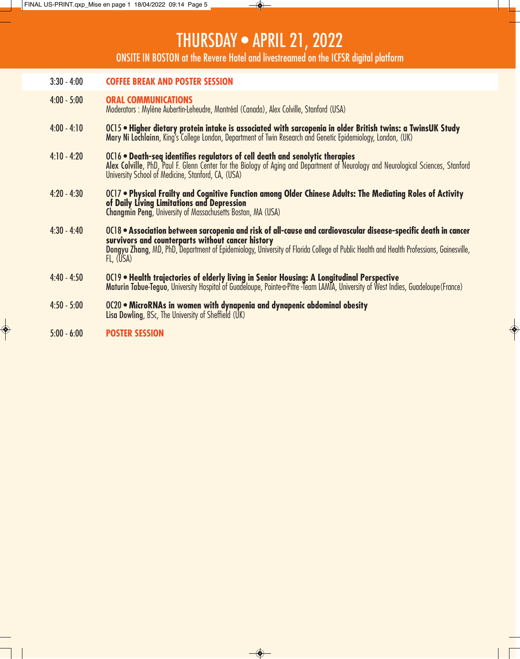# THURSDAY • APRIL 21, 2022

ONSITE IN BOSTON at the Revere Hotel and livestreamed on the ICFSR digital platform

| $3:30 - 4:00$ | <b>COFFEE BREAK AND POSTER SESSION</b>                                                                                                                                                                                                                                                                                      |
|---------------|-----------------------------------------------------------------------------------------------------------------------------------------------------------------------------------------------------------------------------------------------------------------------------------------------------------------------------|
| $4:00 - 5:00$ | <b>ORAL COMMUNICATIONS</b><br>Moderators : Mylène Aubertin-Leheudre, Montréal (Canada), Alex Colville, Stanford (USA)                                                                                                                                                                                                       |
| $4:00 - 4:10$ | OC15 . Higher dietary protein intake is associated with sarcopenia in older British twins: a TwinsUK Study<br>Mary Ni Lochlainn, King's College London, Department of Twin Research and Genetic Epidemiology, London, (UK)                                                                                                  |
| $4:10 - 4:20$ | OC16 • Death-seq identifies regulators of cell death and senolytic therapies<br>Alex Colville, PhD, Paul F. Glenn Center for the Biology of Aging and Department of Neurology and Neurological Sciences, Stanford<br>University School of Medicine, Stanford, CA, (USA)                                                     |
| $4:20 - 4:30$ | OC17 . Physical Frailty and Cognitive Function among Older Chinese Adults: The Mediating Roles of Activity<br>of Daily Living Limitations and Depression<br><b>Changmin Peng, University of Massachusetts Boston, MA (USA)</b>                                                                                              |
| $4:30 - 4:40$ | OC18 • Association between sarcopenia and risk of all-cause and cardiovascular disease-specific death in cancer<br>survivors and counterparts without cancer history<br>Dongyu Zhang, MD, PhD, Department of Epidemiology, University of Florida College of Public Health and Health Professions, Gainesville,<br>FL, (USA) |
| $4:40 - 4:50$ | OC19 • Health trajectories of elderly living in Senior Housing: A Longitudinal Perspective<br>Maturin Tabue-Teguo, University Hospital of Guadeloupe, Pointe-a-Pitre -Team LAMTA, University of West Indies, Guadeloupe (France)                                                                                            |
| $4:50 - 5:00$ | OC20 • MicroRNAs in women with dynapenia and dynapenic abdominal obesity<br>Lisa Dowling, BSc, The University of Sheffield (UK)                                                                                                                                                                                             |
| $5.00h$ 6.00  | <b>DOCTED CECCION</b>                                                                                                                                                                                                                                                                                                       |

 $\rightarrow$ 

5:00 - 6:00 **POSTER SESSION** 

 $\circledast$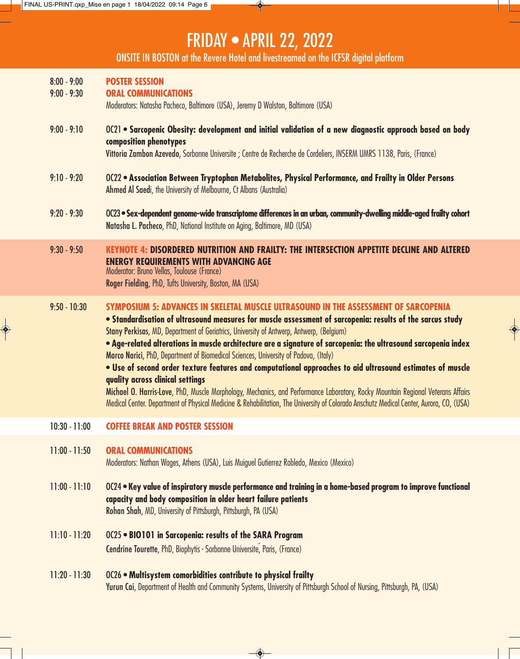◆

# FRIDAY • APRIL 22, 2022

◈

ONSITE IN BOSTON at the Revere Hotel and livestreamed on the ICFSR digital platform

| $8:00 - 9:00$<br>$9:00 - 9:30$ | <b>POSTER SESSION</b><br><b>ORAL COMMUNICATIONS</b><br>Moderators: Natasha Pacheco, Baltimore (USA), Jeremy D Walston, Baltimore (USA)                                                                                                                                                                                                                                                                                                                                                                                                                                                                                                                                                                                                                                                                                                                                                                                               |
|--------------------------------|--------------------------------------------------------------------------------------------------------------------------------------------------------------------------------------------------------------------------------------------------------------------------------------------------------------------------------------------------------------------------------------------------------------------------------------------------------------------------------------------------------------------------------------------------------------------------------------------------------------------------------------------------------------------------------------------------------------------------------------------------------------------------------------------------------------------------------------------------------------------------------------------------------------------------------------|
| $9:00 - 9:10$                  | OC21 . Sarcopenic Obesity: development and initial validation of a new diagnostic approach based on body<br>composition phenotypes<br>Vittoria Zambon Azevedo, Sorbonne Universite ; Centre de Recherche de Cordeliers, INSERM UMRS 1138, Paris, (France)                                                                                                                                                                                                                                                                                                                                                                                                                                                                                                                                                                                                                                                                            |
| $9:10 - 9:20$                  | OC22 . Association Between Tryptophan Metabolites, Physical Performance, and Frailty in Older Persons<br>Ahmed Al Saedi, the University of Melbourne, Ct Albans (Australia)                                                                                                                                                                                                                                                                                                                                                                                                                                                                                                                                                                                                                                                                                                                                                          |
| $9:20 - 9:30$                  | OC23 • Sex-dependent genome-wide transcriptome differences in an urban, community-dwelling middle-aged frailty cohort<br>Natasha L. Pacheco, PhD, National Institute on Aging, Baltimore, MD (USA)                                                                                                                                                                                                                                                                                                                                                                                                                                                                                                                                                                                                                                                                                                                                   |
| $9:30 - 9:50$                  | <b>KEYNOTE 4: DISORDERED NUTRITION AND FRAILTY: THE INTERSECTION APPETITE DECLINE AND ALTERED</b><br><b>ENERGY REQUIREMENTS WITH ADVANCING AGE</b><br>Moderator: Bruno Vellas, Toulouse (France)<br>Roger Fielding, PhD, Tufts University, Boston, MA (USA)                                                                                                                                                                                                                                                                                                                                                                                                                                                                                                                                                                                                                                                                          |
| $9:50 - 10:30$                 | SYMPOSIUM 5: ADVANCES IN SKELETAL MUSCLE ULTRASOUND IN THE ASSESSMENT OF SARCOPENIA<br>. Standardisation of ultrasound measures for muscle assessment of sarcopenia: results of the sarcus study<br>Stany Perkisas, MD, Department of Geriatrics, University of Antwerp, Antwerp, (Belgium)<br>. Age-related alterations in muscle architecture are a signature of sarcopenia: the ultrasound sarcopenia index<br>Marco Narici, PhD, Department of Biomedical Sciences, University of Padova, (Italy)<br>. Use of second order texture features and computational approaches to aid ultrasound estimates of muscle<br>quality across clinical settings<br>Michael O. Harris-Love, PhD, Muscle Morphology, Mechanics, and Performance Laboratory, Rocky Mountain Regional Veterans Affairs<br>Medical Center. Department of Physical Medicine & Rehabilitation, The University of Colorado Anschutz Medical Center, Aurora, CO, (USA) |
| $10:30 - 11:00$                | <b>COFFEE BREAK AND POSTER SESSION</b>                                                                                                                                                                                                                                                                                                                                                                                                                                                                                                                                                                                                                                                                                                                                                                                                                                                                                               |
| $11:00 - 11:50$                | <b>ORAL COMMUNICATIONS</b><br>Moderators: Nathan Wages, Athens (USA), Luis Muiguel Gutierrez Robledo, Mexico (Mexico)                                                                                                                                                                                                                                                                                                                                                                                                                                                                                                                                                                                                                                                                                                                                                                                                                |
| $11:00 - 11:10$                | OC24 . Key value of inspiratory muscle performance and training in a home-based program to improve functional<br>capacity and body composition in older heart failure patients<br>Rohan Shah, MD, University of Pittsburgh, Pittsburgh, PA (USA)                                                                                                                                                                                                                                                                                                                                                                                                                                                                                                                                                                                                                                                                                     |
| $11:10 - 11:20$                | OC25 . BIO101 in Sarcopenia: results of the SARA Program<br>Cendrine Tourette, PhD, Biophytis - Sorbonne Universite, Paris, (France)                                                                                                                                                                                                                                                                                                                                                                                                                                                                                                                                                                                                                                                                                                                                                                                                 |
| $11:20 - 11:30$                | OC26 . Multisystem comorbidities contribute to physical frailty<br>Yurun Cai, Department of Health and Community Systems, University of Pittsburgh School of Nursing, Pittsburgh, PA, (USA)                                                                                                                                                                                                                                                                                                                                                                                                                                                                                                                                                                                                                                                                                                                                          |

 $\bigcirc$ 

 $\begin{matrix} \bullet \\ \bullet \end{matrix}$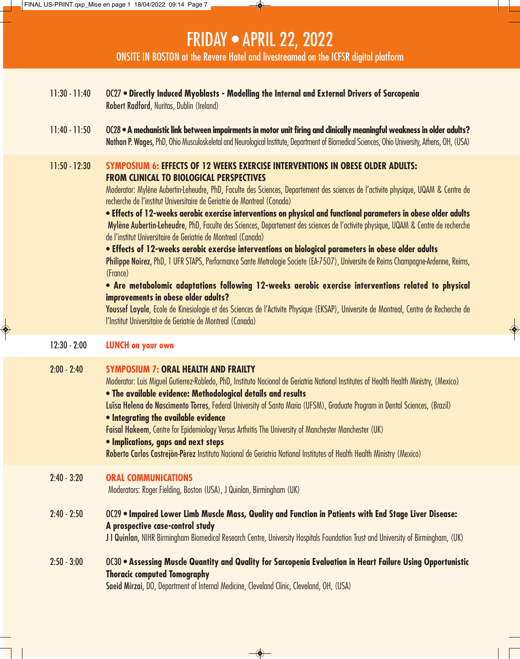### FRIDAY • APRIL 22, 2022

ONSITE IN BOSTON at the Revere Hotel and livestreamed on the ICFSR digital platform

- 11:30 11:40 OC27 **Directly Induced Myoblasts Modelling the Internal and External Drivers of Sarcopenia** Robert Radford, Nuritas, Dublin (Ireland)
- 11:40 11:50 OC28 **A mechanistic link between impairments in motor unit firing and clinically meaningful weakness in older adults?**  Nathan P. Wages, PhD, Ohio Musculoskeletal and Neurological Institute, Department of Biomedical Sciences, Ohio University, Athens, OH, (USA)

#### 11:50 - 12:30 **SYMPOSIUM 6: EFFECTS OF 12 WEEKS EXERCISE INTERVENTIONS IN OBESE OLDER ADULTS: FROM CLINICAL TO BIOLOGICAL PERSPECTIVES**

Moderator: Mylène Aubertin-Leheudre, PhD, Faculte des Sciences, Departement des sciences de l'activite physique, UQAM & Centre de recherche de l'institut Universitaire de Geriatrie de Montreal (Canada)

**• Effects of 12-weeks aerobic exercise interventions on physical and functional parameters in obese older adults** Mylène Aubertin-Leheudre, PhD, Faculte des Sciences, Departement des sciences de l'activite physique, UQAM & Centre de recherche de l'institut Universitaire de Geriatrie de Montreal (Canada)

**• Effects of 12-weeks aerobic exercise interventions on biological parameters in obese older adults**

Philippe Noirez, PhD, 1 UFR STAPS, Performance Sante Metrologie Societe (EA-7507), Universite de Reims Champagne-Ardenne, Reims, (France)

#### **• Are metabolomic adaptations following 12-weeks aerobic exercise interventions related to physical improvements in obese older adults?**

Youssef Layale, Ecole de Kinesiologie et des Sciences de l'Activite Physique (EKSAP), Universite de Montreal, Centre de Recherche de l'Institut Universitaire de Geriatrie de Montreal (Canada)

◈

#### 12:30 - 2:00 **LUNCH on your own**

#### 2:00 - 2:40 **SYMPOSIUM 7: ORAL HEALTH AND FRAILTY**

Moderator: Luis Miguel Gutierrez-Robledo, PhD, Instituto Nacional de Geriatria National Institutes of Health Health Ministry, (Mexico)

**• The available evidence: Methodological details and results**

Luisa Helena do Nascimento Torres, Federal University of Santa Maria (UFSM), Graduate Program in Dental Sciences, (Brazil)

#### **• Integrating the available evidence**

Faisal Hakeem, Centre for Epidemiology Versus Arthritis The University of Manchester Manchester (UK)

#### **• Implications, gaps and next steps**

Roberto Carlos Castrejón-Pérez Instituto Nacional de Geriatria National Institutes of Health Health Ministry (Mexico)

#### 2:40 - 3:20 **ORAL COMMUNICATIONS**

Moderators: Roger Fielding, Boston (USA), J Quinlan, Birmingham (UK)

#### 2:40 - 2:50 OC29 • **Impaired Lower Limb Muscle Mass, Quality and Function in Patients with End Stage Liver Disease: A prospective case-control study**

J I Quinlan, NIHR Birmingham Biomedical Research Centre, University Hospitals Foundation Trust and University of Birmingham, (UK)

2:50 - 3:00 OC30 • **Assessing Muscle Quantity and Quality for Sarcopenia Evaluation in Heart Failure Using Opportunistic Thoracic computed Tomography**

 $\rightarrow$ 

Saeid Mirzai, DO, Department of Internal Medicine, Cleveland Clinic, Cleveland, OH, (USA)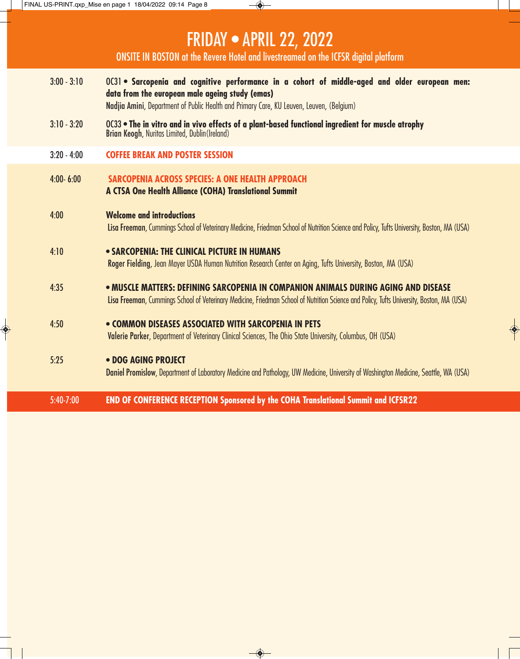### FRIDAY • APRIL 22, 2022

ONSITE IN BOSTON at the Revere Hotel and livestreamed on the ICFSR digital platform

- 3:00 3:10 OC31 **Sarcopenia and cognitive performance in a cohort of middle-aged and older european men: data from the european male ageing study (emas)** Nadjia Amini, Department of Public Health and Primary Care, KU Leuven, Leuven, (Belgium)
- 3:10 3:20 OC33 **The in vitro and in vivo effects of a plant-based functional ingredient for muscle atrophy** Brian Keogh, Nuritas Limited, Dublin(Ireland)
- 3:20 4:00 **COFFEE BREAK AND POSTER SESSION**
- 4:00- 6:00 **SARCOPENIA ACROSS SPECIES: A ONE HEALTH APPROACH A CTSA One Health Alliance (COHA) Translational Summit**
- 4:00 **Welcome and introductions**

Lisa Freeman, Cummings School of Veterinary Medicine, Friedman School of Nutrition Science and Policy, Tufts University, Boston, MA (USA)

#### 4:10 • **SARCOPENIA: THE CLINICAL PICTURE IN HUMANS**

Roger Fielding, Jean Mayer USDA Human Nutrition Research Center on Aging, Tufts University, Boston, MA (USA)

4:35 • **MUSCLE MATTERS: DEFINING SARCOPENIA IN COMPANION ANIMALS DURING AGING AND DISEASE** Lisa Freeman, Cummings School of Veterinary Medicine, Friedman School of Nutrition Science and Policy, Tufts University, Boston, MA (USA)

#### 4:50 **• COMMON DISEASES ASSOCIATED WITH SARCOPENIA IN PETS**

Valerie Parker, Department of Veterinary Clinical Sciences, The Ohio State University, Columbus, OH (USA)

 $\rightarrow$ 

#### 5:25 **• DOG AGING PROJECT**

Daniel Promislow, Department of Laboratory Medicine and Pathology, UW Medicine, University of Washington Medicine, Seattle, WA (USA)

5:40-7:00 **END OF CONFERENCE RECEPTION Sponsored by the COHA Translational Summit and ICFSR22**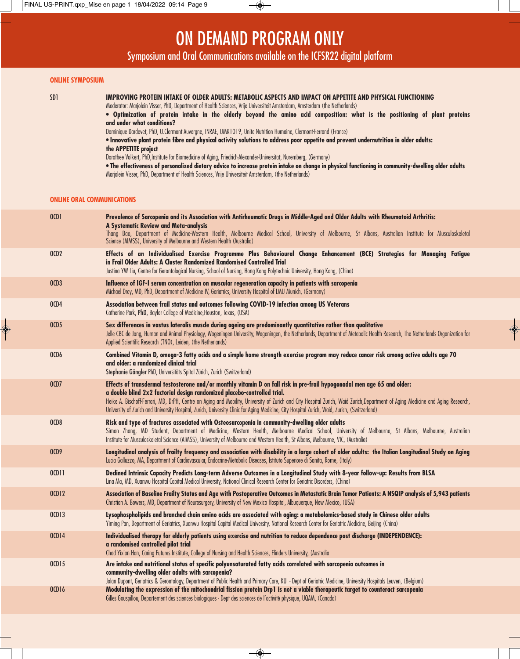### ON DEMAND PROGRAM ONLY

Symposium and Oral Communications available on the ICFSR22 digital platform

#### **ONLINE SYMPOSIUM**

 $\bigcirc$ 

**IMPROVING PROTEIN INTAKE OF OLDER ADULTS: METABOLIC ASPECTS AND IMPACT ON APPETITE AND PHYSICAL FUNCTIONING** 

Moderator: Marjolein Visser, PhD, Department of Health Sciences, Vrije Universiteit Amsterdam, Amsterdam (the Netherlands)

**• Optimization of protein intake in the elderly beyond the amino acid composition: what is the positioning of plant proteins and under what conditions?**

Dominique Dardevet, PhD, U.Clermont Auvergne, INRAE, UMR1019, Unite Nutrition Humaine, Clermont-Ferrand (France)

• **Innovative plant protein fibre and physical activity solutions to address poor appetite and prevent undernutrition in older adults: the APPETITE project**

Dorothee Volkert, PhD,Institute for Biomedicine of Aging, Friedrich-Alexander-Universitat, Nuremberg, (Germany)

• **The effectiveness of personalized dietary advice to increase protein intake on change in physical functioning in community-dwelling older adults** Marjolein Visser, PhD, Department of Health Sciences, Vrije Universiteit Amsterdam, (the Netherlands)

#### **ONLINE ORAL COMMUNICATIONS**

| 0CD1             | Prevalence of Sarcopenia and its Association with Antirheumatic Drugs in Middle-Aged and Older Adults with Rheumatoid Arthritis:<br>A Systematic Review and Meta-analysis<br>Thang Dao, Department of Medicine-Western Health, Melbourne Medical School, University of Melbourne, St Albans, Australian Institute for Musculoskeletal<br>Science (AIMSS), University of Melbourne and Western Health (Australia)                                                                                                                         |
|------------------|------------------------------------------------------------------------------------------------------------------------------------------------------------------------------------------------------------------------------------------------------------------------------------------------------------------------------------------------------------------------------------------------------------------------------------------------------------------------------------------------------------------------------------------|
| 0CD2             | Effects of an Individualised Exercise Programme Plus Behavioural Change Enhancement (BCE) Strategies for Managing Fatigue<br>in Frail Older Adults: A Cluster Randomized Randomised Controlled Trial<br>Justina YW Liu, Centre for Gerontological Nursing, School of Nursing, Hong Kong Polytechnic University, Hong Kong, (China)                                                                                                                                                                                                       |
| OCD <sub>3</sub> | Influence of IGF-I serum concentration on muscular regeneration capacity in patients with sarcopenia<br>Michael Drey, MD, PhD, Department of Medicine IV, Geriatrics, University Hospital of LMU Munich, (Germany)                                                                                                                                                                                                                                                                                                                       |
| OCD4             | Association between frail status and outcomes following COVID-19 infection among US Veterans<br>Catherine Park, PhD, Baylor College of Medicine, Houston, Texas, (USA)                                                                                                                                                                                                                                                                                                                                                                   |
| 0CD5             | Sex differences in vastus lateralis muscle during ageing are predominantly quantitative rather than qualitative<br>Jelle CBC de Jong, Human and Animal Physiology, Wageningen University, Wageningen, the Netherlands, Department of Metabolic Health Research, The Netherlands Organization for<br>Applied Scientific Research (TNO), Leiden, (the Netherlands)                                                                                                                                                                         |
| OCD6             | Combined Vitamin D, omega-3 fatty acids and a simple home strength exercise program may reduce cancer risk among active adults age 70<br>and older: a randomized clinical trial<br>Stephanie Gängler PhD, Universitäts Spital Zürich, Zurich (Switzerland)                                                                                                                                                                                                                                                                               |
| OCD7             | Effects of transdermal testosterone and/or monthly vitamin D on fall risk in pre-frail hypogonadal men age 65 and older:<br>a double blind 2x2 factorial design randomized placebo-controlled trial.<br>Heike A. Bischoff-Ferrari, MD, DrPH, Centre on Aging and Mobility, University of Zurich and City Hospital Zurich, Waid Zurich, Department of Aging Medicine and Aging Research,<br>University of Zurich and University Hospital, Zurich, University Clinic for Aging Medicine, City Hospital Zurich, Waid, Zurich, (Switzerland) |
| OCD8             | Risk and type of fractures associated with Osteosarcopenia in community-dwelling older adults<br>Simon Zhang, MD Student, Department of Medicine, Western Health, Melbourne Medical School, University of Melbourne, St Albans, Melbourne, Australian<br>Institute for Musculoskeletal Science (AIMSS), University of Melbourne and Western Health, St Albans, Melbourne, VIC, (Australia)                                                                                                                                               |
| OCD9             | Longitudinal analysis of frailty frequency and association with disability in a large cohort of older adults: the Italian Longitudinal Study on Aging<br>Lucia Galluzzo, MA, Department of Cardiovascular, Endocrine-Metabolic Diseases, Istituto Superiore di Sanita, Rome, (Italy)                                                                                                                                                                                                                                                     |
| 0011             | Declined Intrinsic Capacity Predicts Long-term Adverse Outcomes in a Longitudinal Study with 8-year follow-up: Results from BLSA<br>Lina Ma, MD, Xuanwu Hospital Capital Medical University, National Clinical Research Center for Geriatric Disorders, (China)                                                                                                                                                                                                                                                                          |
| <b>OCD12</b>     | Association of Baseline Frailty Status and Age with Postoperative Outcomes in Metastatic Brain Tumor Patients: A NSQIP analysis of 5,943 patients<br>Christian A. Bowers, MD, Department of Neurosurgery, University of New Mexico Hospital, Albuquerque, New Mexico, (USA)                                                                                                                                                                                                                                                              |
| <b>OCD13</b>     | Lysophospholipids and branched chain amino acids are associated with aging: a metabolomics-based study in Chinese older adults<br>Yiming Pan, Department of Geriatrics, Xuanwu Hospital Capital Medical University, National Research Center for Geriatric Medicine, Beijing (China)                                                                                                                                                                                                                                                     |
| <b>0CD14</b>     | Individualised therapy for elderly patients using exercise and nutrition to reduce dependence post discharge (INDEPENDENCE):<br>a randomised controlled pilot trial<br>Chad Yixian Han, Caring Futures Institute, College of Nursing and Health Sciences, Flinders University, (Australia                                                                                                                                                                                                                                                |
| 0015             | Are intake and nutritional status of specific polyunsaturated fatty acids correlated with sarcopenia outcomes in<br>community-dwelling older adults with sarcopenia?<br>Jolan Dupont, Geriatrics & Gerontology, Department of Public Health and Primary Care, KU - Dept of Geriatric Medicine, University Hospitals Leuven, (Belgium)                                                                                                                                                                                                    |
| <b>OCD16</b>     | Modulating the expression of the mitochondrial fission protein Drp1 is not a viable therapeutic target to counteract sarcopenia<br>Gilles Gouspillou, Departement des sciences biologiques - Dept des sciences de l'activité physique, UQAM, (Canada)                                                                                                                                                                                                                                                                                    |

 $\overline{\bullet}$